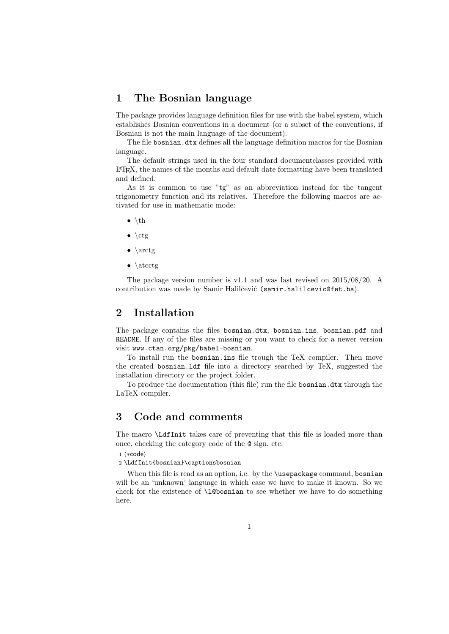## 1 The Bosnian language

The package provides language definition files for use with the babel system, which establishes Bosnian conventions in a document (or a subset of the conventions, if Bosnian is not the main language of the document).

The file bosnian.dtx defines all the language definition macros for the Bosnian language.

The default strings used in the four standard documentclasses provided with LATEX, the names of the months and default date formatting have been translated and defined.

As it is common to use "tg" as an abbreviation instead for the tangent trigonometry function and its relatives. Therefore the following macros are activated for use in mathematic mode:

- $\bullet$  \th
- $\bullet \ \lvert \ctg \rvert$
- $\bullet \setminus \arctg$
- $\bullet \setminus \text{atectg}$

The package version number is v1.1 and was last revised on 2015/08/20. A contribution was made by Samir Halilčević (samir.halilcevic@fet.ba).

## 2 Installation

The package contains the files bosnian.dtx, bosnian.ins, bosnian.pdf and README. If any of the files are missing or you want to check for a newer version visit www.ctan.org/pkg/babel-bosnian.

To install run the bosnian.ins file trough the TeX compiler. Then move the created bosnian.ldf file into a directory searched by TeX, suggested the installation directory or the project folder.

To produce the documentation (this file) run the file bosnian.dtx through the LaTeX compiler.

## 3 Code and comments

The macro \LdfInit takes care of preventing that this file is loaded more than once, checking the category code of the @ sign, etc.

1  $\langle *code \rangle$ 

2 \LdfInit{bosnian}\captionsbosnian

When this file is read as an option, i.e. by the \usepackage command, bosnian will be an 'unknown' language in which case we have to make it known. So we check for the existence of \l@bosnian to see whether we have to do something here.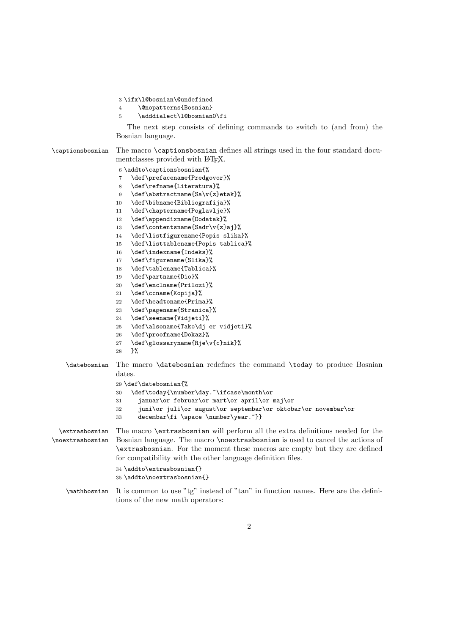```
3 \ifx\l@bosnian\@undefined
```

```
4 \@nopatterns{Bosnian}
```

```
5 \adddialect\l@bosnian0\fi
```
The next step consists of defining commands to switch to (and from) the Bosnian language.

\captionsbosnian The macro \captionsbosnian defines all strings used in the four standard documentclasses provided with L<sup>AT</sup>FX.

```
6 \addto\captionsbosnian{%
                  7 \def\prefacename{Predgovor}%
                  8 \def\refname{Literatura}%
                  9 \def\abstractname{Sa\v{z}etak}%
                 10 \def\bibname{Bibliografija}%
                 11 \def\chaptername{Poglavlje}%
                 12 \def\appendixname{Dodatak}%
                 13 \def\contentsname{Sadr\v{z}aj}%
                 14 \def\listfigurename{Popis slika}%
                 15 \def\listtablename{Popis tablica}%
                 16 \def\indexname{Indeks}%
                 17 \def\figurename{Slika}%
                 18 \def\tablename{Tablica}%
                 19 \def\partname{Dio}%
                 20 \def\enclname{Prilozi}%
                 21 \def\ccname{Kopija}%
                 22 \def\headtoname{Prima}%
                 23 \def\pagename{Stranica}%
                 24 \def\seename{Vidjeti}%
                 25 \def\alsoname{Tako\dj er vidjeti}%
                 26 \def\proofname{Dokaz}%
                 27 \def\glossaryname{Rje\v{c}nik}%
                 28 }%
   \datebosnian The macro \datebosnian redefines the command \today to produce Bosnian
                 dates.
                 29 \def\datebosnian{%
                 30 \def\today{\number\day.~\ifcase\month\or
                 31 januar\or februar\or mart\or april\or maj\or
                 32 juni\or juli\or august\or septembar\or oktobar\or novembar\or
                 33 decembar\fi \space \number\year.~}}
 \extrasbosnian
The macro \extrasbosnian will perform all the extra definitions needed for the
\noextrasbosnian
Bosnian language. The macro \noextrasbosnian is used to cancel the actions of
                 \extrasbosnian. For the moment these macros are empty but they are defined
                 for compatibility with the other language definition files.
                 34 \addto\extrasbosnian{}
                 35 \addto\noextrasbosnian{}
   \mathbosnian It is common to use "tg" instead of "tan" in function names. Here are the defini-
                 tions of the new math operators:
```